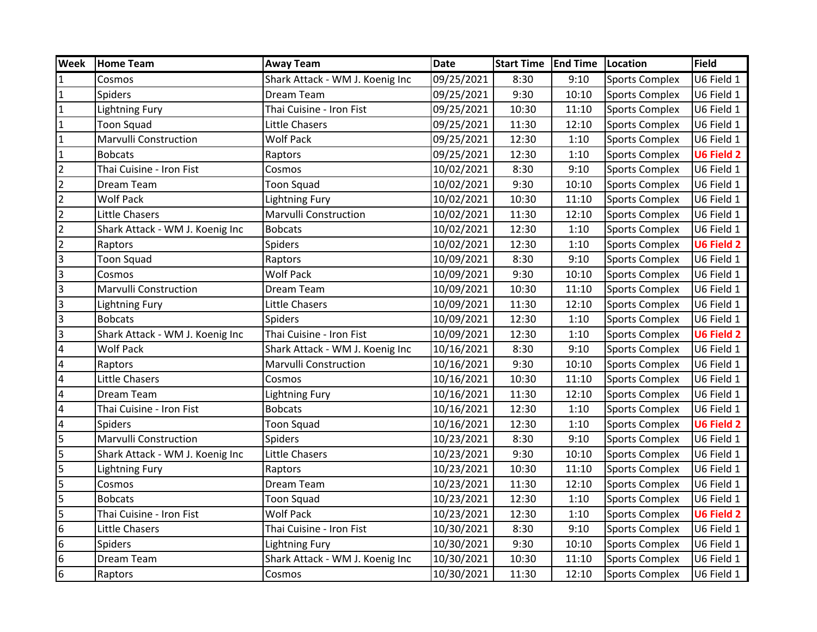| <b>Week</b>             | <b>Home Team</b>                | <b>Away Team</b>                | <b>Date</b> | <b>Start Time</b> | <b>End Time</b> | Location              | <b>Field</b>      |
|-------------------------|---------------------------------|---------------------------------|-------------|-------------------|-----------------|-----------------------|-------------------|
| $\mathbf{1}$            | Cosmos                          | Shark Attack - WM J. Koenig Inc | 09/25/2021  | 8:30              | 9:10            | <b>Sports Complex</b> | U6 Field 1        |
| $\overline{1}$          | Spiders                         | Dream Team                      | 09/25/2021  | 9:30              | 10:10           | Sports Complex        | U6 Field 1        |
| $\overline{1}$          | <b>Lightning Fury</b>           | Thai Cuisine - Iron Fist        | 09/25/2021  | 10:30             | 11:10           | Sports Complex        | U6 Field 1        |
| $\overline{1}$          | <b>Toon Squad</b>               | Little Chasers                  | 09/25/2021  | 11:30             | 12:10           | <b>Sports Complex</b> | U6 Field 1        |
| $\overline{1}$          | <b>Marvulli Construction</b>    | <b>Wolf Pack</b>                | 09/25/2021  | 12:30             | 1:10            | <b>Sports Complex</b> | U6 Field 1        |
| $\overline{1}$          | <b>Bobcats</b>                  | Raptors                         | 09/25/2021  | 12:30             | 1:10            | <b>Sports Complex</b> | <b>U6 Field 2</b> |
| $\overline{2}$          | Thai Cuisine - Iron Fist        | Cosmos                          | 10/02/2021  | 8:30              | 9:10            | <b>Sports Complex</b> | U6 Field 1        |
| $\overline{2}$          | Dream Team                      | <b>Toon Squad</b>               | 10/02/2021  | 9:30              | 10:10           | <b>Sports Complex</b> | U6 Field 1        |
| $\overline{2}$          | <b>Wolf Pack</b>                | <b>Lightning Fury</b>           | 10/02/2021  | 10:30             | 11:10           | Sports Complex        | U6 Field 1        |
| $\overline{2}$          | Little Chasers                  | Marvulli Construction           | 10/02/2021  | 11:30             | 12:10           | Sports Complex        | U6 Field 1        |
| $\overline{2}$          | Shark Attack - WM J. Koenig Inc | <b>Bobcats</b>                  | 10/02/2021  | 12:30             | 1:10            | <b>Sports Complex</b> | U6 Field 1        |
| $\overline{2}$          | Raptors                         | <b>Spiders</b>                  | 10/02/2021  | 12:30             | 1:10            | <b>Sports Complex</b> | <b>U6 Field 2</b> |
| $\overline{3}$          | <b>Toon Squad</b>               | Raptors                         | 10/09/2021  | 8:30              | 9:10            | <b>Sports Complex</b> | U6 Field 1        |
| $\vert$ 3               | Cosmos                          | <b>Wolf Pack</b>                | 10/09/2021  | 9:30              | 10:10           | <b>Sports Complex</b> | U6 Field 1        |
| m                       | Marvulli Construction           | Dream Team                      | 10/09/2021  | 10:30             | 11:10           | <b>Sports Complex</b> | U6 Field 1        |
| $\overline{3}$          | Lightning Fury                  | Little Chasers                  | 10/09/2021  | 11:30             | 12:10           | <b>Sports Complex</b> | U6 Field 1        |
| $\overline{3}$          | <b>Bobcats</b>                  | <b>Spiders</b>                  | 10/09/2021  | 12:30             | 1:10            | Sports Complex        | U6 Field 1        |
| $\overline{\mathbf{3}}$ | Shark Attack - WM J. Koenig Inc | Thai Cuisine - Iron Fist        | 10/09/2021  | 12:30             | 1:10            | Sports Complex        | <b>U6 Field 2</b> |
| $\overline{4}$          | <b>Wolf Pack</b>                | Shark Attack - WM J. Koenig Inc | 10/16/2021  | 8:30              | 9:10            | Sports Complex        | U6 Field 1        |
| $\overline{4}$          | Raptors                         | <b>Marvulli Construction</b>    | 10/16/2021  | 9:30              | 10:10           | <b>Sports Complex</b> | U6 Field 1        |
| $\overline{4}$          | Little Chasers                  | Cosmos                          | 10/16/2021  | 10:30             | 11:10           | <b>Sports Complex</b> | U6 Field 1        |
| $\overline{4}$          | Dream Team                      | Lightning Fury                  | 10/16/2021  | 11:30             | 12:10           | <b>Sports Complex</b> | U6 Field 1        |
| $\overline{\mathbf{4}}$ | Thai Cuisine - Iron Fist        | <b>Bobcats</b>                  | 10/16/2021  | 12:30             | 1:10            | <b>Sports Complex</b> | U6 Field 1        |
| $\overline{4}$          | <b>Spiders</b>                  | <b>Toon Squad</b>               | 10/16/2021  | 12:30             | 1:10            | <b>Sports Complex</b> | <b>U6 Field 2</b> |
| $\overline{\mathbf{5}}$ | Marvulli Construction           | <b>Spiders</b>                  | 10/23/2021  | 8:30              | 9:10            | <b>Sports Complex</b> | U6 Field 1        |
| 5                       | Shark Attack - WM J. Koenig Inc | Little Chasers                  | 10/23/2021  | 9:30              | 10:10           | Sports Complex        | U6 Field 1        |
| 5                       | <b>Lightning Fury</b>           | Raptors                         | 10/23/2021  | 10:30             | 11:10           | Sports Complex        | U6 Field 1        |
| $\overline{\mathsf{5}}$ | Cosmos                          | Dream Team                      | 10/23/2021  | 11:30             | 12:10           | <b>Sports Complex</b> | U6 Field 1        |
| $\overline{\mathbf{5}}$ | <b>Bobcats</b>                  | <b>Toon Squad</b>               | 10/23/2021  | 12:30             | 1:10            | <b>Sports Complex</b> | U6 Field 1        |
| 5                       | Thai Cuisine - Iron Fist        | <b>Wolf Pack</b>                | 10/23/2021  | 12:30             | 1:10            | <b>Sports Complex</b> | <b>U6 Field 2</b> |
| 6                       | Little Chasers                  | Thai Cuisine - Iron Fist        | 10/30/2021  | 8:30              | 9:10            | <b>Sports Complex</b> | U6 Field 1        |
| $6\phantom{.}6$         | <b>Spiders</b>                  | <b>Lightning Fury</b>           | 10/30/2021  | 9:30              | 10:10           | Sports Complex        | U6 Field 1        |
| $6\phantom{.}6$         | Dream Team                      | Shark Attack - WM J. Koenig Inc | 10/30/2021  | 10:30             | 11:10           | <b>Sports Complex</b> | U6 Field 1        |
| l6                      | Raptors                         | Cosmos                          | 10/30/2021  | 11:30             | 12:10           | <b>Sports Complex</b> | U6 Field 1        |